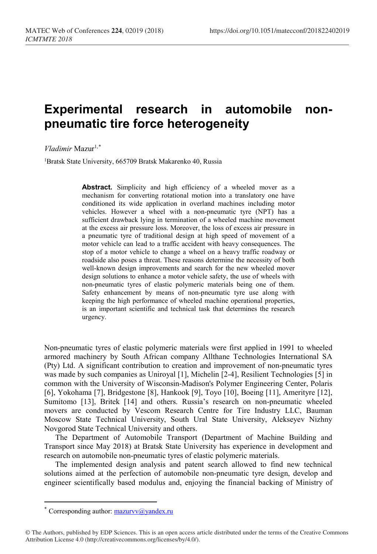## **Experimental research in automobile nonpneumatic tire force heterogeneity**

*Vladimir* Mazur<sup>1,[\\*](#page-0-0)</sup>

<sup>1</sup>Bratsk State University, 665709 Bratsk Makarenko 40, Russia

**Abstract.** Simplicity and high efficiency of a wheeled mover as a mechanism for converting rotational motion into a translatory one have conditioned its wide application in overland machines including motor vehicles. However a wheel with a non-pneumatic tyre (NPT) has a sufficient drawback lying in termination of a wheeled machine movement at the excess air pressure loss. Moreover, the loss of excess air pressure in a pneumatic tyre of traditional design at high speed of movement of a motor vehicle can lead to a traffic accident with heavy consequences. The stop of a motor vehicle to change a wheel on a heavy traffic roadway or roadside also poses a threat. These reasons determine the necessity of both well-known design improvements and search for the new wheeled mover design solutions to enhance a motor vehicle safety, the use of wheels with non-pneumatic tyres of elastic polymeric materials being one of them. Safety enhancement by means of non-pneumatic tyre use along with keeping the high performance of wheeled machine operational properties, is an important scientific and technical task that determines the research urgency.

Non-pneumatic tyres of elastic polymeric materials were first applied in 1991 to wheeled armored machinery by South African company Allthane Technologies International SA (Pty) Ltd. A significant contribution to creation and improvement of non-pneumatic tyres was made by such companies as Uniroyal [1], Michelin [2-4], Resilient Technologies [5] in common with the University of Wisconsin-Madison's Polymer Engineering Center, Polaris [6], Yokohama [7], Bridgestone [8], Hankook [9], Toyo [10], Boeing [11], Amerityre [12], Sumitomo [13], Britek [14] and others. Russia's research on non-pneumatic wheeled movers are conducted by Vescom Research Centre for Tire Industry LLC, Bauman Moscow State Technical University, South Ural State University, Alekseyev Nizhny Novgorod State Technical University and others.

The Department of Automobile Transport (Department of Machine Building and Transport since May 2018) at Bratsk State University has experience in development and research on automobile non-pneumatic tyres of elastic polymeric materials.

The implemented design analysis and patent search allowed to find new technical solutions aimed at the perfection of automobile non-pneumatic tyre design, develop and engineer scientifically based modulus and, enjoying the financial backing of Ministry of

 $\overline{a}$ 

Corresponding author:  $maxurvv@y$ andex.ru

<span id="page-0-0"></span><sup>©</sup> The Authors, published by EDP Sciences. This is an open access article distributed under the terms of the Creative Commons Attribution License 4.0 (http://creativecommons.org/licenses/by/4.0/).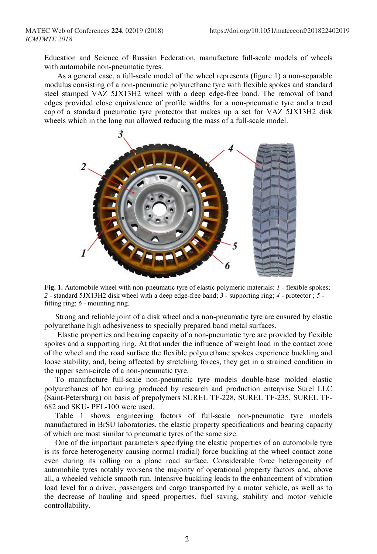Education and Science of Russian Federation, manufacture full-scale models of wheels with automobile non-pneumatic tyres.

As a general case, a full-scale model of the wheel represents (figure 1) a non-separable modulus consisting of a non-pneumatic polyurethane tyre with flexible spokes and standard steel stamped VAZ 5JХ13Н2 wheel with a deep edge-free band. The removal of band edges provided close equivalence of profile widths for a non-pneumatic tyre and a tread cap of a standard pneumatic tyre protector that makes up a set for VAZ 5JХ13Н2 disk wheels which in the long run allowed reducing the mass of a full-scale model.



**Fig. 1.** Automobile wheel with non-pneumatic tyre of elastic polymeric materials: *1* - flexible spokes; *2* - standard 5JХ13Н2 disk wheel with a deep edge-free band; *3* - supporting ring; *4* - protector ; *5* fitting ring; *6* - mounting ring.

Strong and reliable joint of a disk wheel and a non-pneumatic tyre are ensured by elastic polyurethane high adhesiveness to specially prepared band metal surfaces.

Elastic properties and bearing capacity of a non-pneumatic tyre are provided by flexible spokes and a supporting ring. At that under the influence of weight load in the contact zone of the wheel and the road surface the flexible polyurethane spokes experience buckling and loose stability, and, being affected by stretching forces, they get in a strained condition in the upper semi-circle of a non-pneumatic tyre.

To manufacture full-scale non-pneumatic tyre models double-base molded elastic polyurethanes of hot curing produced by research and production enterprise Surel LLC (Saint-Petersburg) on basis of prepolymers SUREL TF-228, SUREL TF-235, SUREL TF-682 and SKU- PFL-100 were used.

Table 1 shows engineering factors of full-scale non-pneumatic tyre models manufactured in BrSU laboratories, the elastic property specifications and bearing capacity of which are most similar to pneumatic tyres of the same size.

One of the important parameters specifying the elastic properties of an automobile tyre is its force heterogeneity causing normal (radial) force buckling at the wheel contact zone even during its rolling on a plane road surface. Considerable force heterogeneity of automobile tyres notably worsens the majority of operational property factors and, above all, a wheeled vehicle smooth run. Intensive buckling leads to the enhancement of vibration load level for a driver, passengers and cargo transported by a motor vehicle, as well as to the decrease of hauling and speed properties, fuel saving, stability and motor vehicle controllability.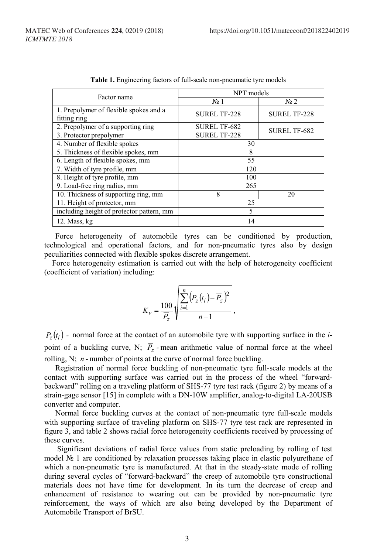| Factor name                                            | NPT models          |                     |  |
|--------------------------------------------------------|---------------------|---------------------|--|
|                                                        | $N_2$ 1             | $N_2$ 2             |  |
| 1. Prepolymer of flexible spokes and a<br>fitting ring | <b>SUREL TF-228</b> | <b>SUREL TF-228</b> |  |
| 2. Prepolymer of a supporting ring                     | <b>SUREL TF-682</b> | SUREL TF-682        |  |
| 3. Protector prepolymer                                | <b>SUREL TF-228</b> |                     |  |
| 4. Number of flexible spokes                           | 30                  |                     |  |
| 5. Thickness of flexible spokes, mm                    | 8                   |                     |  |
| 6. Length of flexible spokes, mm                       | 55                  |                     |  |
| 7. Width of tyre profile, mm                           | 120                 |                     |  |
| 8. Height of tyre profile, mm                          | 100                 |                     |  |
| 9. Load-free ring radius, mm                           | 265                 |                     |  |
| 10. Thickness of supporting ring, mm                   | 8                   | 20                  |  |
| 11. Height of protector, mm                            | 25                  |                     |  |
| including height of protector pattern, mm              | 5                   |                     |  |
| 12. Mass, kg                                           | 14                  |                     |  |

**Table 1.** Engineering factors of full-scale non-pneumatic tyre models

Force heterogeneity of automobile tyres can be conditioned by production, technological and operational factors, and for non-pneumatic tyres also by design peculiarities connected with flexible spokes discrete arrangement.

 Force heterogeneity estimation is carried out with the help of heterogeneity coefficient (coefficient of variation) including:

$$
K_{v} = \frac{100}{\overline{P}_{z}} \sqrt{\frac{\sum_{i=1}^{n} (P_{z}(t_{i}) - \overline{P}_{z})^{2}}{n-1}},
$$

 $P_{z}(t_i)$  - normal force at the contact of an automobile tyre with supporting surface in the *i*point of a buckling curve, N;  $\overline{P}_z$  - mean arithmetic value of normal force at the wheel rolling, N; *n* - number of points at the curve of normal force buckling.

Registration of normal force buckling of non-pneumatic tyre full-scale models at the contact with supporting surface was carried out in the process of the wheel "forwardbackward" rolling on a traveling platform of SHS-77 tyre test rack (figure 2) by means of a strain-gage sensor [15] in complete with a DN-10W amplifier, analog-to-digital LA-20USB converter and computer.

Normal force buckling curves at the contact of non-pneumatic tyre full-scale models with supporting surface of traveling platform on SHS-77 tyre test rack are represented in figure 3, and table 2 shows radial force heterogeneity coefficients received by processing of these curves.

Significant deviations of radial force values from static preloading by rolling of test model № 1 are conditioned by relaxation processes taking place in elastic polyurethane of which a non-pneumatic tyre is manufactured. At that in the steady-state mode of rolling during several cycles of "forward-backward" the creep of automobile tyre constructional materials does not have time for development. In its turn the decrease of creep and enhancement of resistance to wearing out can be provided by non-pneumatic tyre reinforcement, the ways of which are also being developed by the Department of Automobile Transport of BrSU.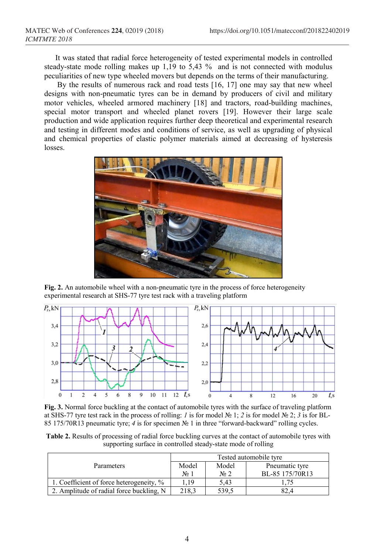It was stated that radial force heterogeneity of tested experimental models in controlled steady-state mode rolling makes up 1,19 to 5,43 % and is not connected with modulus peculiarities of new type wheeled movers but depends on the terms of their manufacturing.

By the results of numerous rack and road tests [16, 17] one may say that new wheel designs with non-pneumatic tyres can be in demand by producers of civil and military motor vehicles, wheeled armored machinery [18] and tractors, road-building machines, special motor transport and wheeled planet rovers [19]. However their large scale production and wide application requires further deep theoretical and experimental research and testing in different modes and conditions of service, as well as upgrading of physical and chemical properties of elastic polymer materials aimed at decreasing of hysteresis losses.



**Fig. 2.** An automobile wheel with a non-pneumatic tyre in the process of force heterogeneity experimental research at SHS-77 tyre test rack with a traveling platform



**Fig. 3.** Normal force buckling at the contact of automobile tyres with the surface of traveling platform at SHS-77 tyre test rack in the process of rolling: *1* is for model № 1; *2* is for model № 2; *3* is for BL-85 175/70R13 pneumatic tyre; *4* is for specimen № 1 in three "forward-backward" rolling cycles.

**Table 2.** Results of processing of radial force buckling curves at the contact of automobile tyres with supporting surface in controlled steady-state mode of rolling

|                                          | Tested automobile tyre |       |                 |
|------------------------------------------|------------------------|-------|-----------------|
| <b>Parameters</b>                        | Model                  | Model | Pneumatic tyre  |
|                                          | $\sqrt{2}$             | No 2  | BL-85 175/70R13 |
| 1. Coefficient of force heterogeneity, % | .19                    | 5.43  |                 |
| 2. Amplitude of radial force buckling, N | 218.3                  | 539.5 | 82.4            |